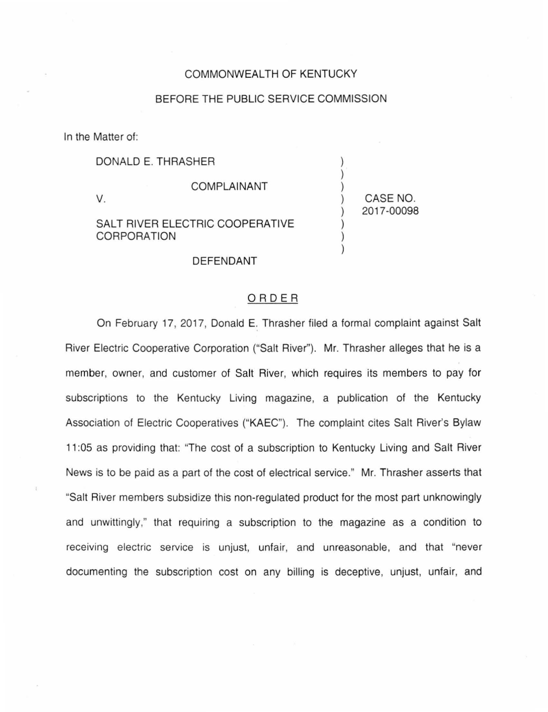## COMMONWEALTH OF KENTUCKY

## BEFORE THE PUBLIC SERVICE COMMISSION

In the Matter of:

DONALD E. THRASHER

v.

COMPLAINANT

SALT RIVER ELECTRIC COOPERATIVE CORPORATION

) CASE NO. ) 2017-00098

) ) )

) ) )

## DEFENDANT

## ORDER

On February 17, 2017, Donald E. Thrasher filed a formal complaint against Salt River Electric Cooperative Corporation ("Salt River"). Mr. Thrasher alleges that he is a member, owner, and customer of Salt River, which requires its members to pay for subscriptions to the Kentucky Living magazine, a publication of the Kentucky Association of Electric Cooperatives ("KAEC"). The complaint cites Salt River's Bylaw 11 :05 as providing that: "The cost of a subscription to Kentucky Living and Salt River News is to be paid as a part of the cost of electrical service." Mr. Thrasher asserts that "Salt River members subsidize this non-regulated product for the most part unknowingly and unwittingly," that requiring a subscription to the magazine as a condition to receiving electric service is unjust, unfair, and unreasonable, and that "never documenting the subscription cost on any billing is deceptive, unjust, unfair, and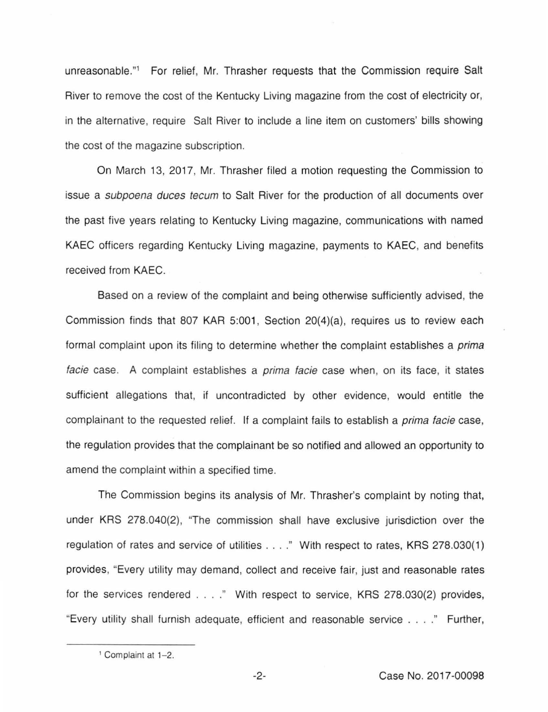unreasonable."1 For relief, Mr. Thrasher requests that the Commission require Salt River to remove the cost of the Kentucky Living magazine from the cost of electricity or, in the alternative, require Salt River to include a line item on customers' bills showing the cost of the magazine subscription.

On March 13, 2017, Mr. Thrasher filed a motion requesting the Commission to issue a subpoena duces tecum to Salt River for the production of all documents over the past five years relating to Kentucky Living magazine, communications with named KAEC officers regarding Kentucky Living magazine, payments to KAEC, and benefits received from KAEC.

Based on a review of the complaint and being otherwise sufficiently advised, the Commission finds that 807 KAR 5:001, Section 20(4)(a), requires us to review each formal complaint upon its filing to determine whether the complaint establishes a *prima* facie case. A complaint establishes a *prima facie* case when, on its face, it states sufficient allegations that, if uncontradicted by other evidence, would entitle the complainant to the requested relief. If a complaint fails to establish a prima facie case, the regulation provides that the complainant be so notified and allowed an opportunity to amend the complaint within a specified time.

The Commission begins its analysis of Mr. Thrasher's complaint by noting that, under KRS 278.040(2), "The commission shall have exclusive jurisdiction over the regulation of rates and service of utilities . . . ." With respect to rates, KRS 278.030(1) provides, "Every utility may demand, collect and receive fair, just and reasonable rates for the services rendered ... . " With respect to service, KRS 278.030(2) provides, "Every utility shall furnish adequate, efficient and reasonable service .... " Further,

<sup>1</sup> Complaint at 1-2.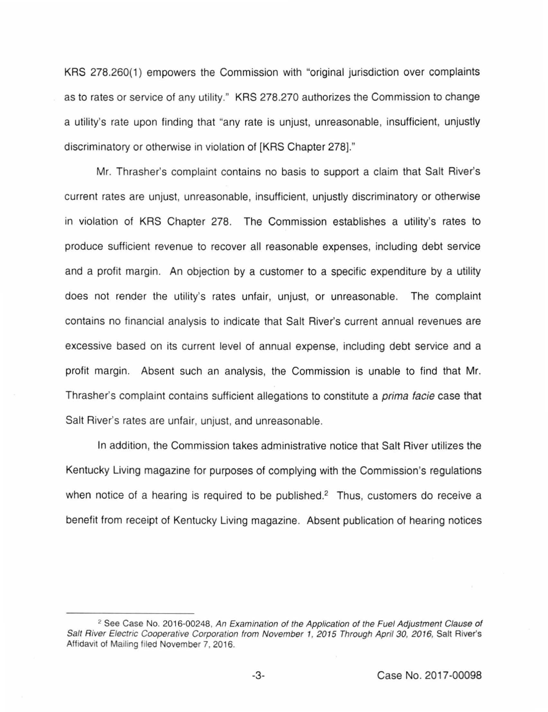KRS 278.260(1) empowers the Commission with "original jurisdiction over complaints as to rates or service of any utility." KRS 278.270 authorizes the Commission to change a utility's rate upon finding that "any rate is unjust, unreasonable, insufficient, unjustly discriminatory or otherwise in violation of [KRS Chapter 278]."

Mr. Thrasher's complaint contains no basis to support a claim that Salt River's current rates are unjust, unreasonable, insufficient, unjustly discriminatory or otherwise in violation of KRS Chapter 278. The Commission establishes a utility's rates to produce sufficient revenue to recover all reasonable expenses, including debt service and a profit margin. An objection by a customer to a specific expenditure by a utility does not render the utility's rates unfair, unjust, or unreasonable. The complaint contains no financial analysis to indicate that Salt River's current annual revenues are excessive based on its current level of annual expense, including debt service and a profit margin. Absent such an analysis, the Commission is unable to find that Mr. Thrasher's complaint contains sufficient allegations to constitute a prima facie case that Salt River's rates are unfair, unjust, and unreasonable.

In addition, the Commission takes administrative notice that Salt River utilizes the Kentucky Living magazine for purposes of complying with the Commission's regulations when notice of a hearing is required to be published.<sup>2</sup> Thus, customers do receive a benefit from receipt of Kentucky Living magazine. Absent publication of hearing notices

<sup>&</sup>lt;sup>2</sup> See Case No. 2016-00248, An Examination of the Application of the Fuel Adjustment Clause of Salt River Electric Cooperative Corporation from November 1, 2015 Through April 30, 2016, Salt River's Affidavit of Mailing filed November 7, 2016.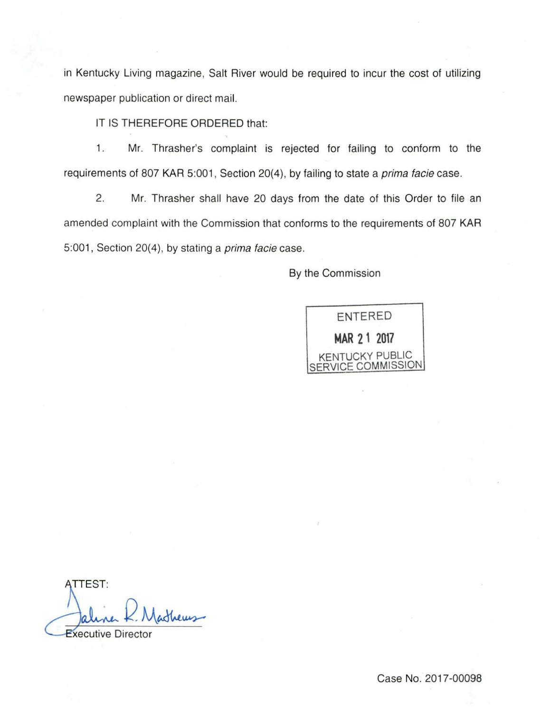in Kentucky Living magazine, Salt River would be required to incur the cost of utilizing newspaper publication or direct mail.

IT IS THEREFORE ORDERED that:

1. Mr. Thrasher's complaint is rejected for failing to conform to the requirements of 807 KAR 5:001, Section 20(4), by failing to state a *prima facie* case.

2. Mr. Thrasher shall have 20 days from the date of this Order to file an amended complaint with the Commission that conforms to the requirements of 807 KAR 5:001, Section 20(4), by stating a *prima facie* case.

By the Commission

ENTERED **MAR 21 2017**  KENTUCKY PUBLIC SERVICE COMMISSION

**ATTEST:** idhews **Executive Directo** 

Case No. 2017-00098